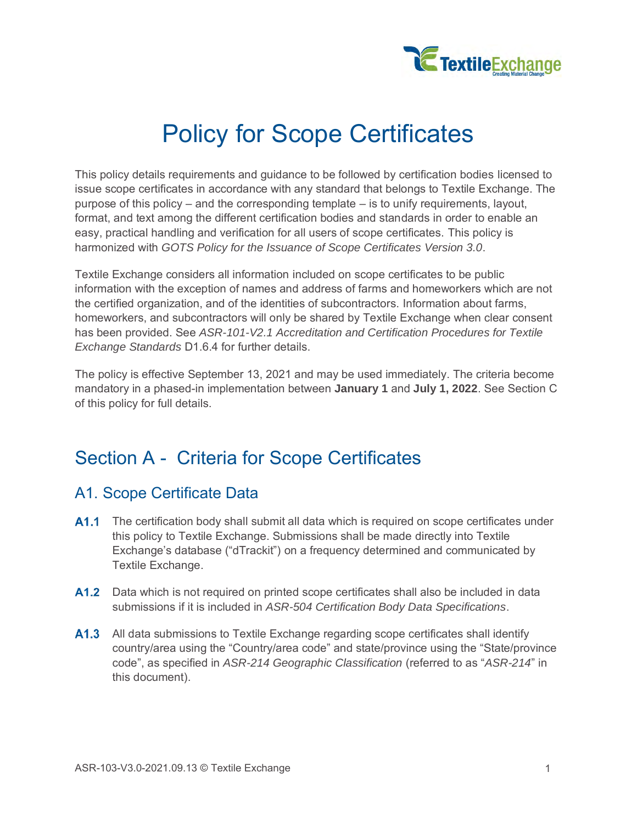

# Policy for Scope Certificates

This policy details requirements and guidance to be followed by certification bodies licensed to issue scope certificates in accordance with any standard that belongs to Textile Exchange. The purpose of this policy – and the corresponding template – is to unify requirements, layout, format, and text among the different certification bodies and standards in order to enable an easy, practical handling and verification for all users of scope certificates. This policy is harmonized with *GOTS Policy for the Issuance of Scope Certificates Version 3.0*.

Textile Exchange considers all information included on scope certificates to be public information with the exception of names and address of farms and homeworkers which are not the certified organization, and of the identities of subcontractors. Information about farms, homeworkers, and subcontractors will only be shared by Textile Exchange when clear consent has been provided. See *ASR-101-V2.1 Accreditation and Certification Procedures for Textile Exchange Standards* D1.6.4 for further details.

The policy is effective September 13, 2021 and may be used immediately. The criteria become mandatory in a phased-in implementation between **January 1** and **July 1, 2022**. See Section C of this policy for full details.

# Section A - Criteria for Scope Certificates

# A1. Scope Certificate Data

- A1.1 The certification body shall submit all data which is required on scope certificates under this policy to Textile Exchange. Submissions shall be made directly into Textile Exchange's database ("dTrackit") on a frequency determined and communicated by Textile Exchange.
- **A1.2** Data which is not required on printed scope certificates shall also be included in data submissions if it is included in *ASR-504 Certification Body Data Specifications*.
- A1.3 All data submissions to Textile Exchange regarding scope certificates shall identify country/area using the "Country/area code" and state/province using the "State/province code", as specified in *ASR-214 Geographic Classification* (referred to as "*ASR-214*" in this document).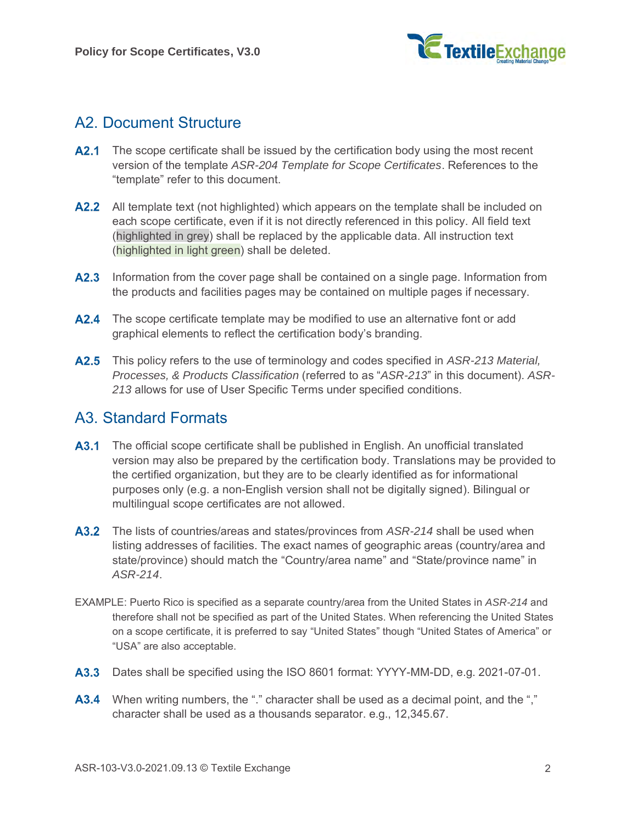

# A2. Document Structure

- **A2.1** The scope certificate shall be issued by the certification body using the most recent version of the template *ASR-204 Template for Scope Certificates*. References to the "template" refer to this document.
- **A2.2** All template text (not highlighted) which appears on the template shall be included on each scope certificate, even if it is not directly referenced in this policy. All field text (highlighted in grey) shall be replaced by the applicable data. All instruction text (highlighted in light green) shall be deleted.
- A2.3 Information from the cover page shall be contained on a single page. Information from the products and facilities pages may be contained on multiple pages if necessary.
- **A2.4** The scope certificate template may be modified to use an alternative font or add graphical elements to reflect the certification body's branding.
- <span id="page-1-0"></span>This policy refers to the use of terminology and codes specified in *ASR-213 Material, Processes, & Products Classification* (referred to as "*ASR-213*" in this document). *ASR-213* allows for use of User Specific Terms under specified conditions.

## A3. Standard Formats

- **A3.1** The official scope certificate shall be published in English. An unofficial translated version may also be prepared by the certification body. Translations may be provided to the certified organization, but they are to be clearly identified as for informational purposes only (e.g. a non-English version shall not be digitally signed). Bilingual or multilingual scope certificates are not allowed.
- <span id="page-1-1"></span>The lists of countries/areas and states/provinces from *ASR-214* shall be used when listing addresses of facilities. The exact names of geographic areas (country/area and state/province) should match the "Country/area name" and "State/province name" in *ASR-214*.
- EXAMPLE: Puerto Rico is specified as a separate country/area from the United States in *ASR-214* and therefore shall not be specified as part of the United States. When referencing the United States on a scope certificate, it is preferred to say "United States" though "United States of America" or "USA" are also acceptable.
- <span id="page-1-2"></span>A3.3 Dates shall be specified using the ISO 8601 format: YYYY-MM-DD, e.g. 2021-07-01.
- <span id="page-1-3"></span>A3.4 When writing numbers, the "." character shall be used as a decimal point, and the "," character shall be used as a thousands separator. e.g., 12,345.67.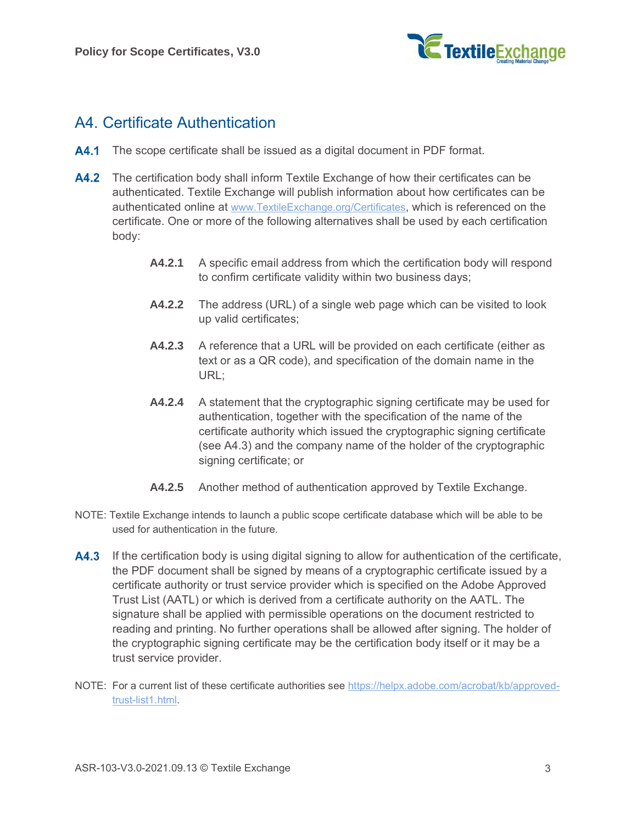

# <span id="page-2-1"></span>A4. Certificate Authentication

- A4.1 The scope certificate shall be issued as a digital document in PDF format.
- A4.2 The certification body shall inform Textile Exchange of how their certificates can be authenticated. Textile Exchange will publish information about how certificates can be authenticated online at [www.TextileExchange.org/Certificates](http://www.textileexchange.org/Certificates), which is referenced on the certificate. One or more of the following alternatives shall be used by each certification body:
	- **A4.2.1** A specific email address from which the certification body will respond to confirm certificate validity within two business days;
	- **A4.2.2** The address (URL) of a single web page which can be visited to look up valid certificates;
	- **A4.2.3** A reference that a URL will be provided on each certificate (either as text or as a QR code), and specification of the domain name in the URL;
	- **A4.2.4** A statement that the cryptographic signing certificate may be used for authentication, together with the specification of the name of the certificate authority which issued the cryptographic signing certificate (see [A4.3\)](#page-2-0) and the company name of the holder of the cryptographic signing certificate; or
	- **A4.2.5** Another method of authentication approved by Textile Exchange.
- NOTE: Textile Exchange intends to launch a public scope certificate database which will be able to be used for authentication in the future.
- <span id="page-2-0"></span>**A4.3** If the certification body is using digital signing to allow for authentication of the certificate, the PDF document shall be signed by means of a cryptographic certificate issued by a certificate authority or trust service provider which is specified on the Adobe Approved Trust List (AATL) or which is derived from a certificate authority on the AATL. The signature shall be applied with permissible operations on the document restricted to reading and printing. No further operations shall be allowed after signing. The holder of the cryptographic signing certificate may be the certification body itself or it may be a trust service provider.
- NOTE: For a current list of these certificate authorities see [https://helpx.adobe.com/acrobat/kb/approved](https://helpx.adobe.com/acrobat/kb/approved-trust-list1.html)[trust-list1.html.](https://helpx.adobe.com/acrobat/kb/approved-trust-list1.html)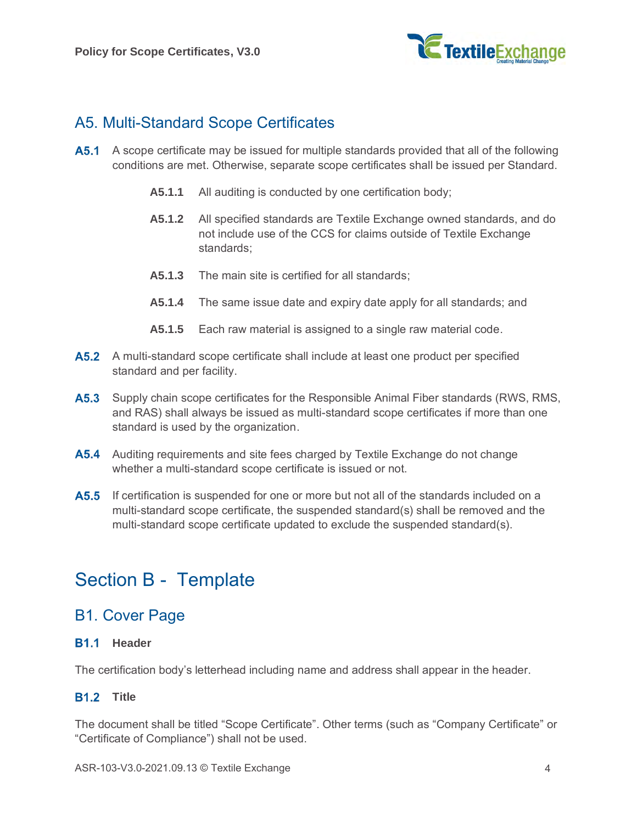

# <span id="page-3-0"></span>A5. Multi-Standard Scope Certificates

- **A5.1** A scope certificate may be issued for multiple standards provided that all of the following conditions are met. Otherwise, separate scope certificates shall be issued per Standard.
	- **A5.1.1** All auditing is conducted by one certification body;
	- **A5.1.2** All specified standards are Textile Exchange owned standards, and do not include use of the CCS for claims outside of Textile Exchange standards;
	- **A5.1.3** The main site is certified for all standards;
	- **A5.1.4** The same issue date and expiry date apply for all standards; and
	- **A5.1.5** Each raw material is assigned to a single raw material code.
- **A5.2** A multi-standard scope certificate shall include at least one product per specified standard and per facility.
- **A5.3** Supply chain scope certificates for the Responsible Animal Fiber standards (RWS, RMS, and RAS) shall always be issued as multi-standard scope certificates if more than one standard is used by the organization.
- **A5.4** Auditing requirements and site fees charged by Textile Exchange do not change whether a multi-standard scope certificate is issued or not.
- **A5.5** If certification is suspended for one or more but not all of the standards included on a multi-standard scope certificate, the suspended standard(s) shall be removed and the multi-standard scope certificate updated to exclude the suspended standard(s).

# Section B - Template

### B1. Cover Page

#### **B1.1 Header**

The certification body's letterhead including name and address shall appear in the header.

#### **B1.2** Title

The document shall be titled "Scope Certificate". Other terms (such as "Company Certificate" or "Certificate of Compliance") shall not be used.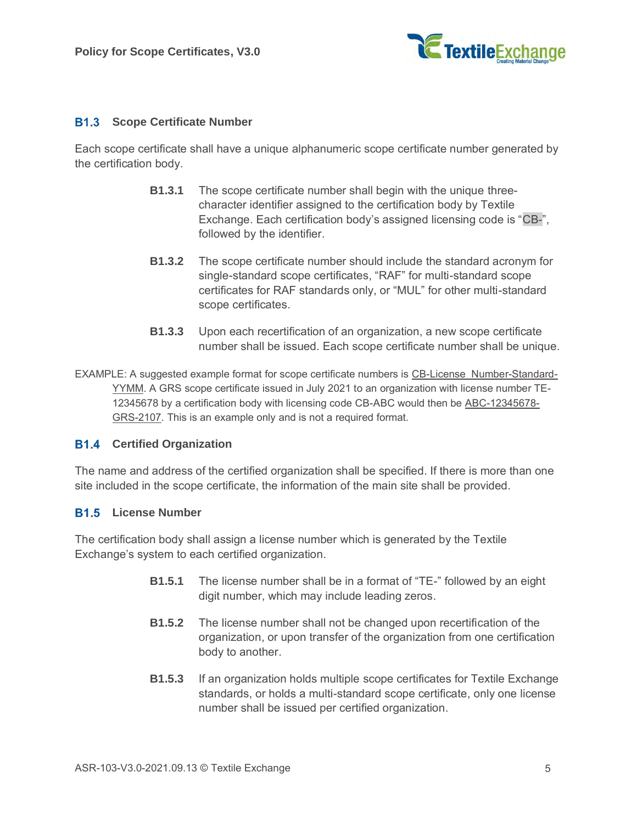

#### <span id="page-4-0"></span>**Scope Certificate Number**

Each scope certificate shall have a unique alphanumeric scope certificate number generated by the certification body.

- **B1.3.1** The scope certificate number shall begin with the unique threecharacter identifier assigned to the certification body by Textile Exchange. Each certification body's assigned licensing code is "CB-", followed by the identifier.
- **B1.3.2** The scope certificate number should include the standard acronym for single-standard scope certificates, "RAF" for multi-standard scope certificates for RAF standards only, or "MUL" for other multi-standard scope certificates.
- **B1.3.3** Upon each recertification of an organization, a new scope certificate number shall be issued. Each scope certificate number shall be unique.

EXAMPLE: A suggested example format for scope certificate numbers is CB-License\_Number-Standard-YYMM. A GRS scope certificate issued in July 2021 to an organization with license number TE-12345678 by a certification body with licensing code CB-ABC would then be ABC-12345678- GRS-2107. This is an example only and is not a required format.

#### <span id="page-4-1"></span>**B1.4 Certified Organization**

The name and address of the certified organization shall be specified. If there is more than one site included in the scope certificate, the information of the main site shall be provided.

#### <span id="page-4-2"></span>**B1.5** License Number

The certification body shall assign a license number which is generated by the Textile Exchange's system to each certified organization.

- **B1.5.1** The license number shall be in a format of "TE-" followed by an eight digit number, which may include leading zeros.
- **B1.5.2** The license number shall not be changed upon recertification of the organization, or upon transfer of the organization from one certification body to another.
- **B1.5.3** If an organization holds multiple scope certificates for Textile Exchange standards, or holds a multi-standard scope certificate, only one license number shall be issued per certified organization.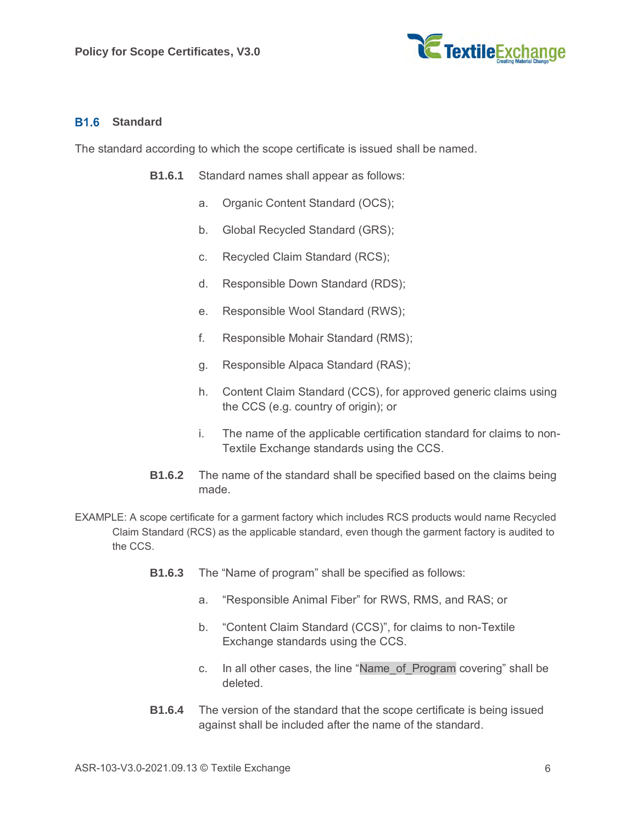

#### <span id="page-5-0"></span>**B1.6** Standard

The standard according to which the scope certificate is issued shall be named.

- **B1.6.1** Standard names shall appear as follows:
	- a. Organic Content Standard (OCS);
	- b. Global Recycled Standard (GRS);
	- c. Recycled Claim Standard (RCS);
	- d. Responsible Down Standard (RDS);
	- e. Responsible Wool Standard (RWS);
	- f. Responsible Mohair Standard (RMS);
	- g. Responsible Alpaca Standard (RAS);
	- h. Content Claim Standard (CCS), for approved generic claims using the CCS (e.g. country of origin); or
	- i. The name of the applicable certification standard for claims to non-Textile Exchange standards using the CCS.
- **B1.6.2** The name of the standard shall be specified based on the claims being made.
- <span id="page-5-1"></span>EXAMPLE: A scope certificate for a garment factory which includes RCS products would name Recycled Claim Standard (RCS) as the applicable standard, even though the garment factory is audited to the CCS.
	- **B1.6.3** The "Name of program" shall be specified as follows:
		- a. "Responsible Animal Fiber" for RWS, RMS, and RAS; or
		- b. "Content Claim Standard (CCS)", for claims to non-Textile Exchange standards using the CCS.
		- c. In all other cases, the line "Name\_of\_Program covering" shall be deleted.
	- **B1.6.4** The version of the standard that the scope certificate is being issued against shall be included after the name of the standard.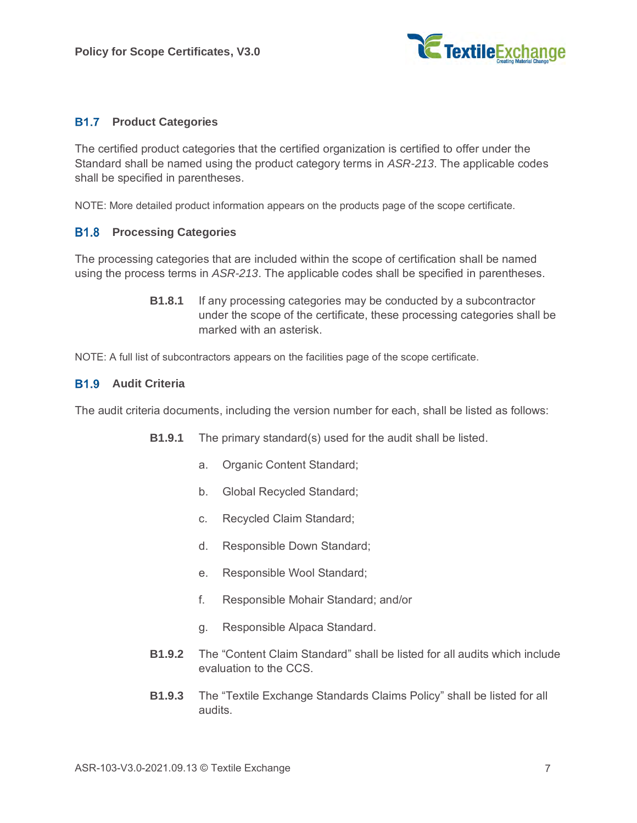

#### **B1.7 Product Categories**

The certified product categories that the certified organization is certified to offer under the Standard shall be named using the product category terms in *ASR-213*. The applicable codes shall be specified in parentheses.

NOTE: More detailed product information appears on the products page of the scope certificate.

#### **Processing Categories**

The processing categories that are included within the scope of certification shall be named using the process terms in *ASR-213*. The applicable codes shall be specified in parentheses.

> **B1.8.1** If any processing categories may be conducted by a subcontractor under the scope of the certificate, these processing categories shall be marked with an asterisk.

NOTE: A full list of subcontractors appears on the facilities page of the scope certificate.

#### <span id="page-6-0"></span>**B1.9** Audit Criteria

The audit criteria documents, including the version number for each, shall be listed as follows:

- **B1.9.1** The primary standard(s) used for the audit shall be listed.
	- a. Organic Content Standard;
	- b. Global Recycled Standard;
	- c. Recycled Claim Standard;
	- d. Responsible Down Standard;
	- e. Responsible Wool Standard;
	- f. Responsible Mohair Standard; and/or
	- g. Responsible Alpaca Standard.
- **B1.9.2** The "Content Claim Standard" shall be listed for all audits which include evaluation to the CCS.
- **B1.9.3** The "Textile Exchange Standards Claims Policy" shall be listed for all audits.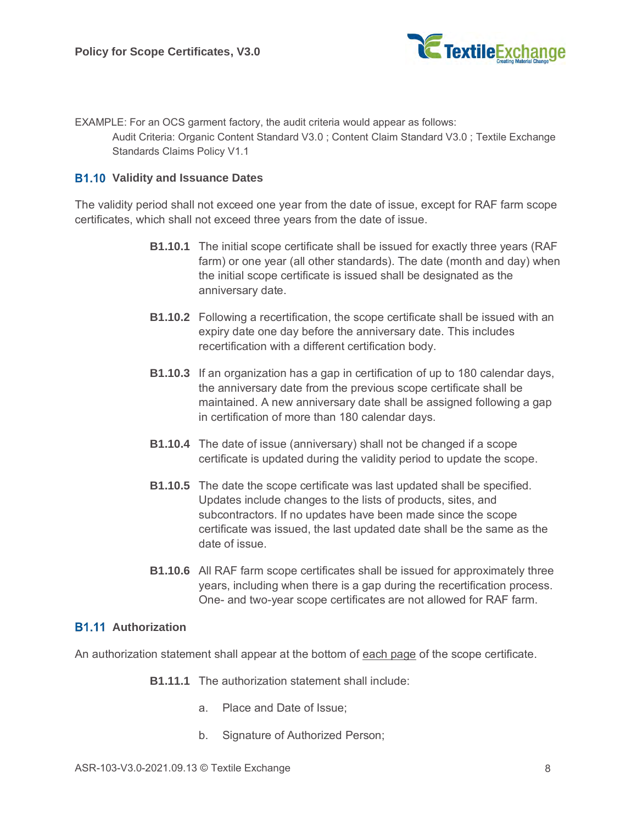

EXAMPLE: For an OCS garment factory, the audit criteria would appear as follows: Audit Criteria: Organic Content Standard V3.0 ; Content Claim Standard V3.0 ; Textile Exchange Standards Claims Policy V1.1

#### **B1.10 Validity and Issuance Dates**

The validity period shall not exceed one year from the date of issue, except for RAF farm scope certificates, which shall not exceed three years from the date of issue.

- **B1.10.1** The initial scope certificate shall be issued for exactly three years (RAF farm) or one year (all other standards). The date (month and day) when the initial scope certificate is issued shall be designated as the anniversary date.
- **B1.10.2** Following a recertification, the scope certificate shall be issued with an expiry date one day before the anniversary date. This includes recertification with a different certification body.
- **B1.10.3** If an organization has a gap in certification of up to 180 calendar days, the anniversary date from the previous scope certificate shall be maintained. A new anniversary date shall be assigned following a gap in certification of more than 180 calendar days.
- **B1.10.4** The date of issue (anniversary) shall not be changed if a scope certificate is updated during the validity period to update the scope.
- <span id="page-7-0"></span>**B1.10.5** The date the scope certificate was last updated shall be specified. Updates include changes to the lists of products, sites, and subcontractors. If no updates have been made since the scope certificate was issued, the last updated date shall be the same as the date of issue.
- **B1.10.6** All RAF farm scope certificates shall be issued for approximately three years, including when there is a gap during the recertification process. One- and two-year scope certificates are not allowed for RAF farm.

#### **B1.11 Authorization**

An authorization statement shall appear at the bottom of each page of the scope certificate.

- **B1.11.1** The authorization statement shall include:
	- a. Place and Date of Issue;
	- b. Signature of Authorized Person;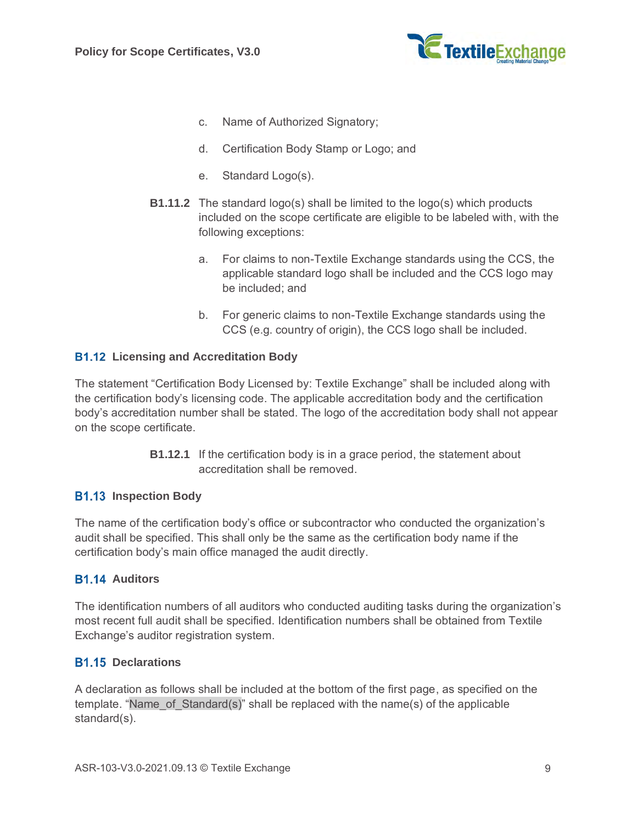

- c. Name of Authorized Signatory;
- d. Certification Body Stamp or Logo; and
- e. Standard Logo(s).
- **B1.11.2** The standard logo(s) shall be limited to the logo(s) which products included on the scope certificate are eligible to be labeled with, with the following exceptions:
	- a. For claims to non-Textile Exchange standards using the CCS, the applicable standard logo shall be included and the CCS logo may be included; and
	- b. For generic claims to non-Textile Exchange standards using the CCS (e.g. country of origin), the CCS logo shall be included.

#### <span id="page-8-0"></span>**B1.12 Licensing and Accreditation Body**

The statement "Certification Body Licensed by: Textile Exchange" shall be included along with the certification body's licensing code. The applicable accreditation body and the certification body's accreditation number shall be stated. The logo of the accreditation body shall not appear on the scope certificate.

> **B1.12.1** If the certification body is in a grace period, the statement about accreditation shall be removed.

#### <span id="page-8-1"></span>**B1.13 Inspection Body**

The name of the certification body's office or subcontractor who conducted the organization's audit shall be specified. This shall only be the same as the certification body name if the certification body's main office managed the audit directly.

#### <span id="page-8-3"></span>**B1.14 Auditors**

The identification numbers of all auditors who conducted auditing tasks during the organization's most recent full audit shall be specified. Identification numbers shall be obtained from Textile Exchange's auditor registration system.

#### <span id="page-8-2"></span>**B1.15 Declarations**

A declaration as follows shall be included at the bottom of the first page, as specified on the template. "Name\_of\_Standard(s)" shall be replaced with the name(s) of the applicable standard(s).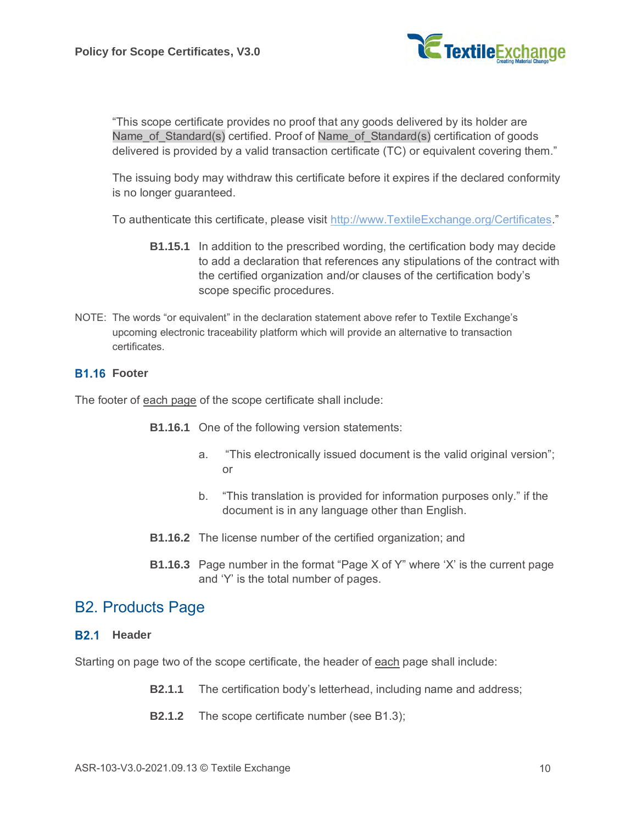

"This scope certificate provides no proof that any goods delivered by its holder are Name of Standard(s) certified. Proof of Name of Standard(s) certification of goods delivered is provided by a valid transaction certificate (TC) or equivalent covering them."

The issuing body may withdraw this certificate before it expires if the declared conformity is no longer guaranteed.

To authenticate this certificate, please visit [http://www.TextileExchange.org/Certificates.](http://www.textileexchange.org/Certificates)"

- **B1.15.1** In addition to the prescribed wording, the certification body may decide to add a declaration that references any stipulations of the contract with the certified organization and/or clauses of the certification body's scope specific procedures.
- NOTE: The words "or equivalent" in the declaration statement above refer to Textile Exchange's upcoming electronic traceability platform which will provide an alternative to transaction certificates.

#### **B1.16 Footer**

The footer of each page of the scope certificate shall include:

- **B1.16.1** One of the following version statements:
	- a. "This electronically issued document is the valid original version"; or
	- b. "This translation is provided for information purposes only." if the document is in any language other than English.
- **B1.16.2** The license number of the certified organization; and
- **B1.16.3** Page number in the format "Page X of Y" where 'X' is the current page and 'Y' is the total number of pages.

### B2. Products Page

#### **B2.1** Header

Starting on page two of the scope certificate, the header of each page shall include:

- **B2.1.1** The certification body's letterhead, including name and address;
- **B2.1.2** The scope certificate number (see [B1.3\)](#page-4-0);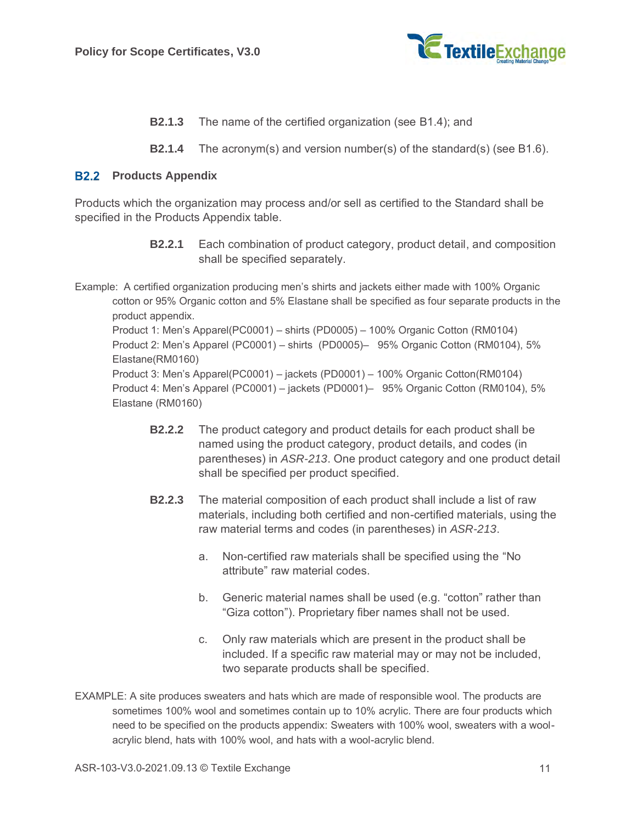

- **B2.1.3** The name of the certified organization (see [B1.4\)](#page-4-1); and
- **B2.1.4** The acronym(s) and version number(s) of the standard(s) (see [B1.6\)](#page-5-0).

#### <span id="page-10-0"></span>**B2.2 Products Appendix**

Products which the organization may process and/or sell as certified to the Standard shall be specified in the Products Appendix table.

> **B2.2.1** Each combination of product category, product detail, and composition shall be specified separately.

Example: A certified organization producing men's shirts and jackets either made with 100% Organic cotton or 95% Organic cotton and 5% Elastane shall be specified as four separate products in the product appendix. Product 1: Men's Apparel(PC0001) – shirts (PD0005) – 100% Organic Cotton (RM0104) Product 2: Men's Apparel (PC0001) – shirts (PD0005)– 95% Organic Cotton (RM0104), 5% Elastane(RM0160) Product 3: Men's Apparel(PC0001) – jackets (PD0001) – 100% Organic Cotton(RM0104) Product 4: Men's Apparel (PC0001) – jackets (PD0001)– 95% Organic Cotton (RM0104), 5% Elastane (RM0160)

- **B2.2.2** The product category and product details for each product shall be named using the product category, product details, and codes (in parentheses) in *ASR-213*. One product category and one product detail shall be specified per product specified.
- **B2.2.3** The material composition of each product shall include a list of raw materials, including both certified and non-certified materials, using the raw material terms and codes (in parentheses) in *ASR-213*.
	- a. Non-certified raw materials shall be specified using the "No attribute" raw material codes.
	- b. Generic material names shall be used (e.g. "cotton" rather than "Giza cotton"). Proprietary fiber names shall not be used.
	- c. Only raw materials which are present in the product shall be included. If a specific raw material may or may not be included, two separate products shall be specified.
- EXAMPLE: A site produces sweaters and hats which are made of responsible wool. The products are sometimes 100% wool and sometimes contain up to 10% acrylic. There are four products which need to be specified on the products appendix: Sweaters with 100% wool, sweaters with a woolacrylic blend, hats with 100% wool, and hats with a wool-acrylic blend.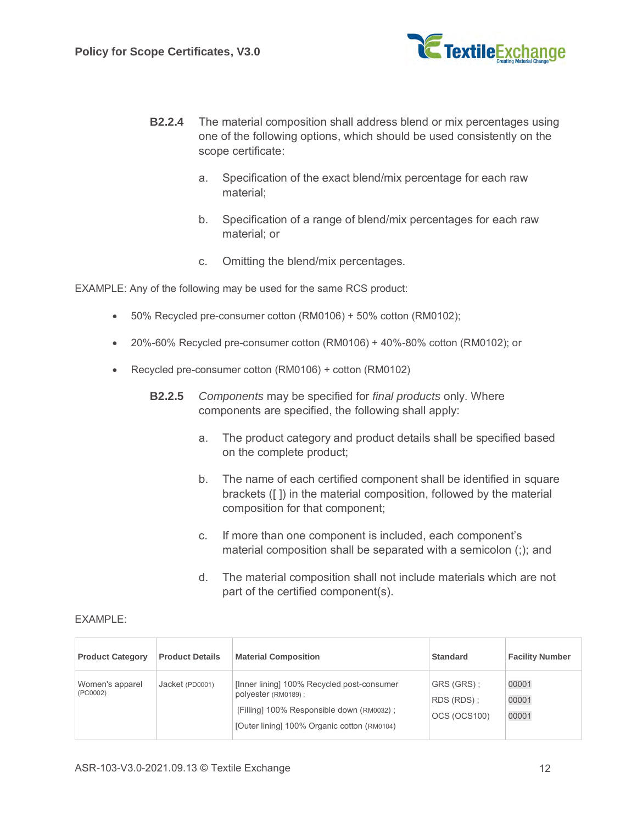

- **B2.2.4** The material composition shall address blend or mix percentages using one of the following options, which should be used consistently on the scope certificate:
	- a. Specification of the exact blend/mix percentage for each raw material;
	- b. Specification of a range of blend/mix percentages for each raw material; or
	- c. Omitting the blend/mix percentages.

EXAMPLE: Any of the following may be used for the same RCS product:

- 50% Recycled pre-consumer cotton (RM0106) + 50% cotton (RM0102);
- 20%-60% Recycled pre-consumer cotton (RM0106) + 40%-80% cotton (RM0102); or
- Recycled pre-consumer cotton (RM0106) + cotton (RM0102)
	- **B2.2.5** *Components* may be specified for *final products* only. Where components are specified, the following shall apply:
		- a. The product category and product details shall be specified based on the complete product;
		- b. The name of each certified component shall be identified in square brackets ([ ]) in the material composition, followed by the material composition for that component;
		- c. If more than one component is included, each component's material composition shall be separated with a semicolon (;); and
		- d. The material composition shall not include materials which are not part of the certified component(s).

| <b>Product Category</b>     | <b>Product Details</b> | <b>Material Composition</b>                                                                                                                                    | <b>Standard</b>                          | <b>Facility Number</b>  |
|-----------------------------|------------------------|----------------------------------------------------------------------------------------------------------------------------------------------------------------|------------------------------------------|-------------------------|
| Women's apparel<br>(PC0002) | Jacket (PD0001)        | [Inner lining] 100% Recycled post-consumer<br>polyester (RM0189);<br>[Filling] 100% Responsible down (RM0032) ;<br>[Outer lining] 100% Organic cotton (RM0104) | GRS (GRS):<br>RDS (RDS):<br>OCS (OCS100) | 00001<br>00001<br>00001 |

#### EXAMPLE: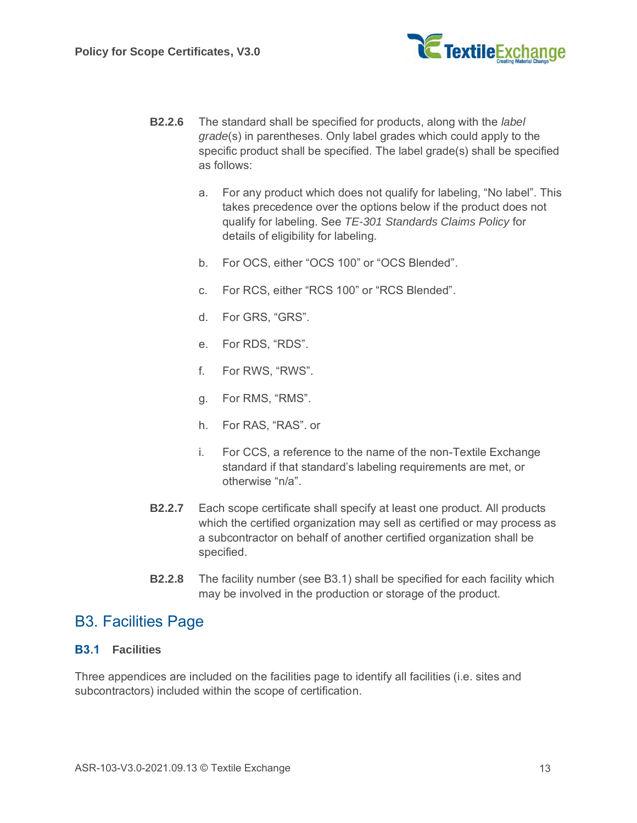

- **B2.2.6** The standard shall be specified for products, along with the *label grade*(s) in parentheses. Only label grades which could apply to the specific product shall be specified. The label grade(s) shall be specified as follows:
	- a. For any product which does not qualify for labeling, "No label". This takes precedence over the options below if the product does not qualify for labeling. See *TE-301 Standards Claims Policy* for details of eligibility for labeling.
	- b. For OCS, either "OCS 100" or "OCS Blended".
	- c. For RCS, either "RCS 100" or "RCS Blended".
	- d. For GRS, "GRS".
	- e. For RDS, "RDS".
	- f. For RWS, "RWS".
	- g. For RMS, "RMS".
	- h. For RAS, "RAS". or
	- i. For CCS, a reference to the name of the non-Textile Exchange standard if that standard's labeling requirements are met, or otherwise "n/a".
- **B2.2.7** Each scope certificate shall specify at least one product. All products which the certified organization may sell as certified or may process as a subcontractor on behalf of another certified organization shall be specified.
- **B2.2.8** The facility number (see [B3.1\)](#page-12-0) shall be specified for each facility which may be involved in the production or storage of the product.

### <span id="page-12-1"></span>B3. Facilities Page

#### <span id="page-12-0"></span>**B3.1 Facilities**

Three appendices are included on the facilities page to identify all facilities (i.e. sites and subcontractors) included within the scope of certification.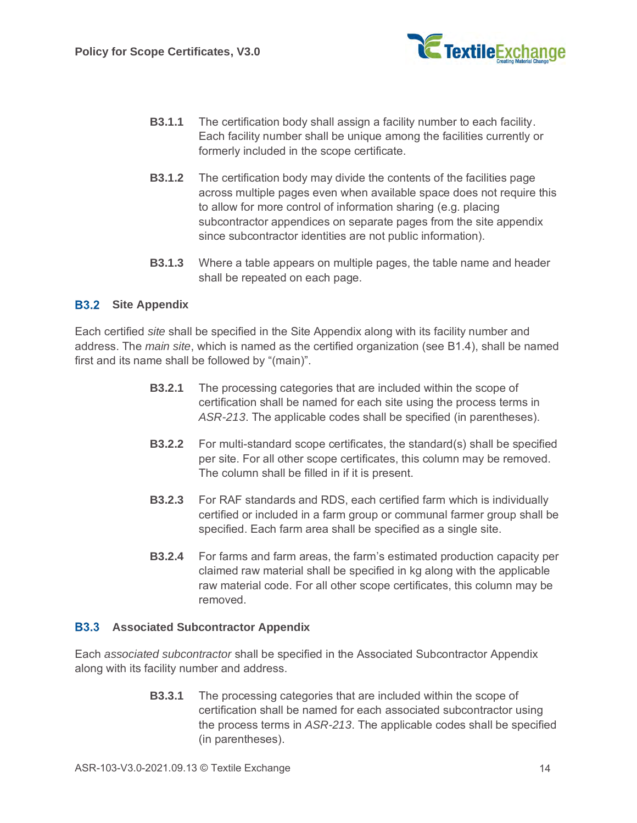

- **B3.1.1** The certification body shall assign a facility number to each facility. Each facility number shall be unique among the facilities currently or formerly included in the scope certificate.
- **B3.1.2** The certification body may divide the contents of the facilities page across multiple pages even when available space does not require this to allow for more control of information sharing (e.g. placing subcontractor appendices on separate pages from the site appendix since subcontractor identities are not public information).
- **B3.1.3** Where a table appears on multiple pages, the table name and header shall be repeated on each page.

#### **B3.2** Site Appendix

Each certified *site* shall be specified in the Site Appendix along with its facility number and address. The *main site*, which is named as the certified organization (see [B1.4\)](#page-4-1), shall be named first and its name shall be followed by "(main)".

- **B3.2.1** The processing categories that are included within the scope of certification shall be named for each site using the process terms in *ASR-213*. The applicable codes shall be specified (in parentheses).
- **B3.2.2** For multi-standard scope certificates, the standard(s) shall be specified per site. For all other scope certificates, this column may be removed. The column shall be filled in if it is present.
- **B3.2.3** For RAF standards and RDS, each certified farm which is individually certified or included in a farm group or communal farmer group shall be specified. Each farm area shall be specified as a single site.
- **B3.2.4** For farms and farm areas, the farm's estimated production capacity per claimed raw material shall be specified in kg along with the applicable raw material code. For all other scope certificates, this column may be removed.

#### <span id="page-13-0"></span>**B3.3 Associated Subcontractor Appendix**

Each *associated subcontractor* shall be specified in the Associated Subcontractor Appendix along with its facility number and address.

> **B3.3.1** The processing categories that are included within the scope of certification shall be named for each associated subcontractor using the process terms in *ASR-213*. The applicable codes shall be specified (in parentheses).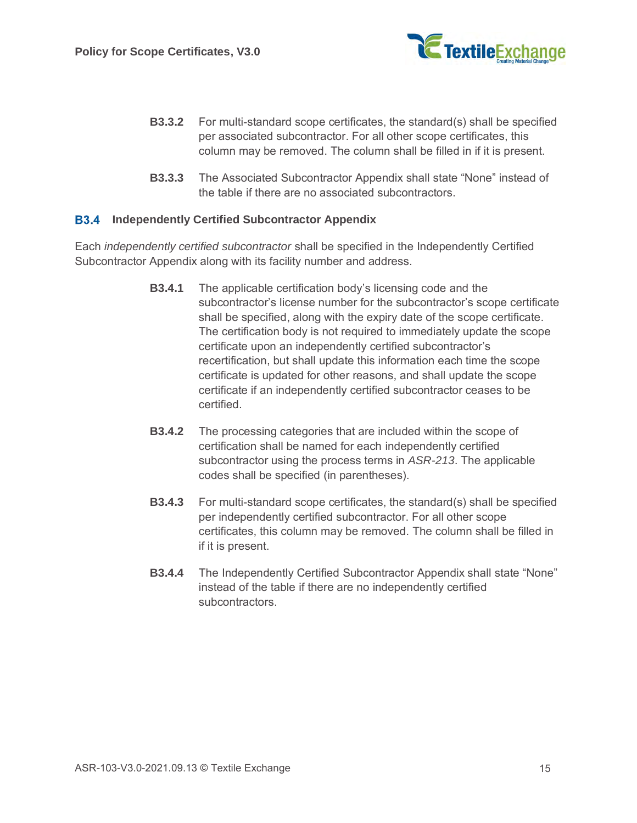

- **B3.3.2** For multi-standard scope certificates, the standard(s) shall be specified per associated subcontractor. For all other scope certificates, this column may be removed. The column shall be filled in if it is present.
- **B3.3.3** The Associated Subcontractor Appendix shall state "None" instead of the table if there are no associated subcontractors.

#### **Independently Certified Subcontractor Appendix**

Each *independently certified subcontractor* shall be specified in the Independently Certified Subcontractor Appendix along with its facility number and address.

- **B3.4.1** The applicable certification body's licensing code and the subcontractor's license number for the subcontractor's scope certificate shall be specified, along with the expiry date of the scope certificate. The certification body is not required to immediately update the scope certificate upon an independently certified subcontractor's recertification, but shall update this information each time the scope certificate is updated for other reasons, and shall update the scope certificate if an independently certified subcontractor ceases to be certified.
- **B3.4.2** The processing categories that are included within the scope of certification shall be named for each independently certified subcontractor using the process terms in *ASR-213*. The applicable codes shall be specified (in parentheses).
- **B3.4.3** For multi-standard scope certificates, the standard(s) shall be specified per independently certified subcontractor. For all other scope certificates, this column may be removed. The column shall be filled in if it is present.
- **B3.4.4** The Independently Certified Subcontractor Appendix shall state "None" instead of the table if there are no independently certified subcontractors.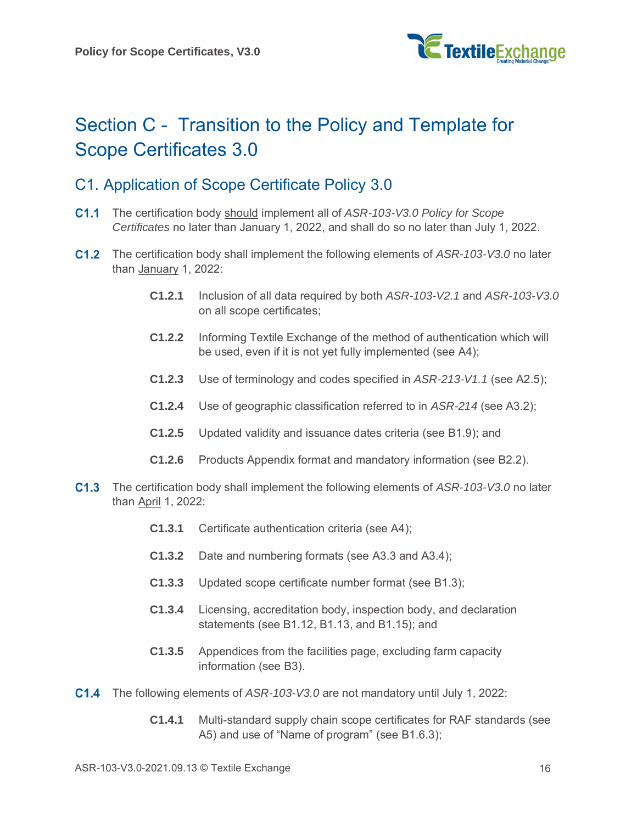

# Section C - Transition to the Policy and Template for Scope Certificates 3.0

# <span id="page-15-0"></span>C1. Application of Scope Certificate Policy 3.0

- The certification body should implement all of *ASR-103-V3.0 Policy for Scope Certificates* no later than January 1, 2022, and shall do so no later than July 1, 2022.
- The certification body shall implement the following elements of *ASR-103-V3.0* no later than January 1, 2022:
	- **C1.2.1** Inclusion of all data required by both *ASR-103-V2.1* and *ASR-103-V3.0* on all scope certificates;
	- **C1.2.2** Informing Textile Exchange of the method of authentication which will be used, even if it is not yet fully implemented (see [A4\)](#page-2-1);
	- **C1.2.3** Use of terminology and codes specified in *ASR-213-V1.1* (see [A2.5\)](#page-1-0);
	- **C1.2.4** Use of geographic classification referred to in *ASR-214* (see [A3.2\)](#page-1-1);
	- **C1.2.5** Updated validity and issuance dates criteria (see [B1.9\)](#page-6-0); and
	- **C1.2.6** Products Appendix format and mandatory information (see [B2.2\)](#page-10-0).
- The certification body shall implement the following elements of *ASR-103-V3.0* no later than April 1, 2022:
	- **C1.3.1** Certificate authentication criteria (see [A4\)](#page-2-1);
	- **C1.3.2** Date and numbering formats (see [A3.3](#page-1-2) and [A3.4\)](#page-1-3);
	- **C1.3.3** Updated scope certificate number format (see [B1.3\)](#page-4-0);
	- **C1.3.4** Licensing, accreditation body, inspection body, and declaration statements (see [B1.12,](#page-8-0) [B1.13,](#page-8-1) and [B1.15\)](#page-8-2); and
	- **C1.3.5** Appendices from the facilities page, excluding farm capacity information (see [B3\)](#page-12-1).
- The following elements of *ASR-103-V3.0* are not mandatory until July 1, 2022:
	- **C1.4.1** Multi-standard supply chain scope certificates for RAF standards (see [A5\)](#page-3-0) and use of "Name of program" (see [B1.6.3\)](#page-5-1);